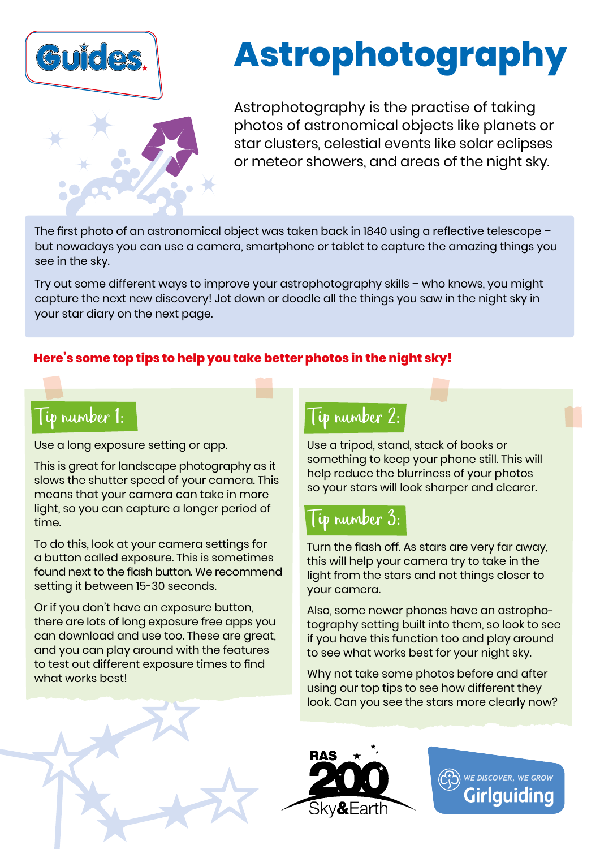

# **Astrophotography**

Astrophotography is the practise of taking photos of astronomical objects like planets or star clusters, celestial events like solar eclipses or meteor showers, and areas of the night sky.

The first photo of an astronomical object was taken back in 1840 using a reflective telescope – but nowadays you can use a camera, smartphone or tablet to capture the amazing things you see in the sky.

Try out some different ways to improve your astrophotography skills – who knows, you might capture the next new discovery! Jot down or doodle all the things you saw in the night sky in your star diary on the next page.

#### **Here's some top tips to help you take better photos in the night sky!**

### Tip number 1:

Use a long exposure setting or app.

This is great for landscape photography as it slows the shutter speed of your camera. This means that your camera can take in more light, so you can capture a longer period of time.

To do this, look at your camera settings for a button called exposure. This is sometimes found next to the flash button. We recommend setting it between 15-30 seconds.

Or if you don't have an exposure button, there are lots of long exposure free apps you can download and use too. These are great, and you can play around with the features to test out different exposure times to find what works best!

### Tip number 2:

Use a tripod, stand, stack of books or something to keep your phone still. This will help reduce the blurriness of your photos so your stars will look sharper and clearer.

## Tip number 3:

Turn the flash off. As stars are very far away, this will help your camera try to take in the light from the stars and not things closer to your camera.

Also, some newer phones have an astrophotography setting built into them, so look to see if you have this function too and play around to see what works best for your night sky.

Why not take some photos before and after using our top tips to see how different they look. Can you see the stars more clearly now?